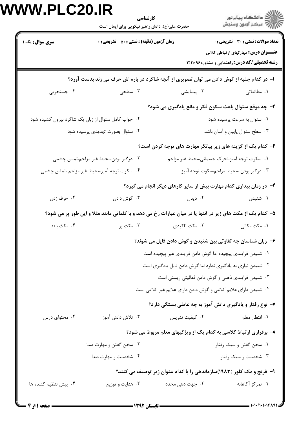| <b>سری سوال :</b> یک ۱                              | <b>زمان آزمون (دقیقه) : تستی : ۵۰ تشریحی : 0</b> |                                                                                                            | <b>تعداد سوالات : تستی : 30 - تشریحی : 0</b><br>عنـــوان درس: مهارتهای ارتباطی کلاس<br><b>رشته تحصیلی/کد درس: راهنمایی و مشاوره۱۲۱۱۰۹۶</b> |
|-----------------------------------------------------|--------------------------------------------------|------------------------------------------------------------------------------------------------------------|--------------------------------------------------------------------------------------------------------------------------------------------|
|                                                     |                                                  | ۱– در کدام جنبه از گوش دادن می توان تصویری از آنچه شاگرد در باره اش حرف می زند بدست آورد؟                  |                                                                                                                                            |
| ۰۴ جستجویی                                          | ۰۲ پیمایشی <b>۲۰۰ س</b> اه مسطحی                 |                                                                                                            | ١. مطالعاتي                                                                                                                                |
|                                                     |                                                  | ۲- چه موقع سئوال باعث سکون فکر و مانع یادگیری می شود؟                                                      |                                                                                                                                            |
| ۰۲ جواب کامل سئوال از زبان یک شاگرد بیرون کشیده شود |                                                  |                                                                                                            | ۰۱ سئوال به سرعت پرسیده شود                                                                                                                |
|                                                     | ۰۴ سئوال بصورت تهدیدی پرسیده شود                 | ۰۳ سطح سئوال پایین و آسان باشد                                                                             |                                                                                                                                            |
|                                                     |                                                  | ۳- کدام یک از گزینه های زیر بیانگر مهارت های توجه کردن است؟                                                |                                                                                                                                            |
| ۲. درگیر بودن،محیط غیر مزاحم،تماس چشمی              |                                                  | ٠١. سكوت توجه آميز،تحرك جسماني،محيط غير مزاحم                                                              |                                                                                                                                            |
| ۰۴ سکوت توجه آمیز،محیط غیر مزاحم ،تماس چشمی         |                                                  |                                                                                                            | ۰۳ درگیر بودن ،محیط مزاحم،سکوت توجه آمیز                                                                                                   |
|                                                     |                                                  | ۴- در زمان بیداری کدام مهارت بیش از سایر کارهای دیگر انجام می گیرد؟                                        |                                                                                                                                            |
| ۰۴ حرف زدن                                          | ۰۳ گوش دادن                                      | ۰۲ دیدن                                                                                                    | ۰۱ شنیدن                                                                                                                                   |
|                                                     |                                                  | ۵- کدام یک از مکث های زیر در انتها یا در میان عبارات رخ می دهد و با کلماتی مانند مثلا و این طور پر می شود؟ |                                                                                                                                            |
| ۰۴ مکث بلند                                         | ۰۳ مکث پر                                        | ۰۲ مکث تاکیدی                                                                                              | ۰۱ مکث مکانی                                                                                                                               |
|                                                     |                                                  | ۶– زبان شناسان چه تفاوتی بین شنیدن و گوش دادن قایل می شوند؟                                                |                                                                                                                                            |
|                                                     |                                                  | ٠١ شنيدن فرايندي پيچيده اما گوش دادن فرايندي غير پيچيده است                                                |                                                                                                                                            |
|                                                     |                                                  | ۲. شنیدن نیازی به یادگیری ندارد اما گوش دادن قابل یادگیری است                                              |                                                                                                                                            |
|                                                     |                                                  | ۰۳ شنیدن فرایندی ذهنی و گوش دادن فعالیتی زیستی است                                                         |                                                                                                                                            |
|                                                     |                                                  | ۰۴ شنیدن دارای علایم کلامی و گوش دادن دارای علایم غیر کلامی است                                            |                                                                                                                                            |
|                                                     |                                                  | ۷- نوع رفتار و یادگیری دانش آموز به چه عاملی بستگی دارد؟                                                   |                                                                                                                                            |
| ۰۴ محتوای درس                                       | ۰۳ تلاش دانش آموز                                | ۰۲ کیفیت تدریس                                                                                             | ۰۱ انتظار معلم                                                                                                                             |
|                                                     |                                                  | ۸- برقراری ارتباط کلاسی به کدام یک از ویژگیهای معلم مربوط می شود؟                                          |                                                                                                                                            |
|                                                     | ۰۲ سخن گفتن و مهارت صدا                          |                                                                                                            | ۰۱ سخن گفتن و سبک رفتار                                                                                                                    |
|                                                     | ۰۴ شخصیت و مهارت صدا                             |                                                                                                            | ۰۳ شخصیت و سبک رفتار                                                                                                                       |
|                                                     |                                                  | ۹- فرنج و مک کلور (۱۹۸۳)سازماندهی را با کدام عنوان زیر توصیف می کنند؟                                      |                                                                                                                                            |
| ۰۴ پیش تنظیم کننده ها                               | ۰۳ هدایت و توزیع                                 | ۰۲ جهت ده <sub>ی</sub> مجدد                                                                                | ٠١ تمركز آگاهانه                                                                                                                           |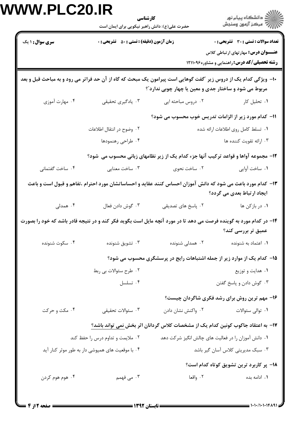| <b>زمان آزمون (دقیقه) : تستی : 50 ٪ تشریحی : 0</b><br><b>سری سوال : ۱ یک</b><br>۰۴ مهارت آموزی<br>۰۳ يادگيري تحقيقي<br>۰۲ وضوح در انتقال اطلاعات<br>۰۴ طراحی رهنمودها<br>۱۲- مجموعه آواها و قواعد ترکیب آنها جزء کدام یک از زیر نظامهای زبانی محسوب می شود؟<br>۰۴ ساخت گفتمانی<br>۰۳ ساخت معنایی<br>۰۲ ساخت نحوی<br>۱۳– کدام مورد باعث می شود که دانش آموزان احساس کنند عقاید و احساساتشان مورد احترام ،تفاهم و قبول است و باعث<br>۰۳ گوش دادن فعال<br>۰۴ همدلی<br>۱۴- در کدام مورد به گوینده فرصت می دهد تا در مورد آنچه مایل است بگوید فکر کند و در نتیجه قادر باشد که خود را بصورت<br>۰۳ تشويق شنونده<br>۰۴ سکوت شنونده<br>۰۲ طرح سئوالات بي ربط<br>۰۴ تسلسل<br>۰۳ سئوالات تحقيقى<br>۰۴ مکث و حرکت | <b>تعداد سوالات : تستی : 30 - تشریحی : 0</b><br>عنـــوان درس: مهارتهای ارتباطی کلاس<br>رشته تحصیلی/کد درس: راهنمایی و مشاوره۱۲۱۱۰۹۶ |                                                                                                                                                                           |  |  |  |  |  |  |
|-------------------------------------------------------------------------------------------------------------------------------------------------------------------------------------------------------------------------------------------------------------------------------------------------------------------------------------------------------------------------------------------------------------------------------------------------------------------------------------------------------------------------------------------------------------------------------------------------------------------------------------------------------------------------------------------------------|-------------------------------------------------------------------------------------------------------------------------------------|---------------------------------------------------------------------------------------------------------------------------------------------------------------------------|--|--|--|--|--|--|
|                                                                                                                                                                                                                                                                                                                                                                                                                                                                                                                                                                                                                                                                                                       |                                                                                                                                     |                                                                                                                                                                           |  |  |  |  |  |  |
|                                                                                                                                                                                                                                                                                                                                                                                                                                                                                                                                                                                                                                                                                                       |                                                                                                                                     | ∙ا− ویژگی کدام یک از دروس زیر ″گفت گوهایی است پیرامون یک مبحث که گاه از آن حد فراتر می رود و به مباحث قبل و بعد<br>مربوط می شود و ساختار جدی و معین یا چهار چوبی ندارد ؒ؟ |  |  |  |  |  |  |
|                                                                                                                                                                                                                                                                                                                                                                                                                                                                                                                                                                                                                                                                                                       | ۰۲ دروس مباحثه ایی<br>۰۱ تحلیل کار                                                                                                  |                                                                                                                                                                           |  |  |  |  |  |  |
|                                                                                                                                                                                                                                                                                                                                                                                                                                                                                                                                                                                                                                                                                                       | 11- کدام مورد زیر از الزامات تدریس خوب محسوب می شود؟<br>٠١ تسلط كامل روى اطلاعات ارائه شده                                          |                                                                                                                                                                           |  |  |  |  |  |  |
|                                                                                                                                                                                                                                                                                                                                                                                                                                                                                                                                                                                                                                                                                                       | ۰۳ ارائه تقويت كننده ها                                                                                                             |                                                                                                                                                                           |  |  |  |  |  |  |
|                                                                                                                                                                                                                                                                                                                                                                                                                                                                                                                                                                                                                                                                                                       |                                                                                                                                     |                                                                                                                                                                           |  |  |  |  |  |  |
|                                                                                                                                                                                                                                                                                                                                                                                                                                                                                                                                                                                                                                                                                                       | ٠١ ساخت آوايي                                                                                                                       |                                                                                                                                                                           |  |  |  |  |  |  |
|                                                                                                                                                                                                                                                                                                                                                                                                                                                                                                                                                                                                                                                                                                       | ایجاد ارتباط بعدی می گردد؟                                                                                                          |                                                                                                                                                                           |  |  |  |  |  |  |
|                                                                                                                                                                                                                                                                                                                                                                                                                                                                                                                                                                                                                                                                                                       | ۰۲ پاسخ های تصدیقی<br>۰۱ در بازکن ها                                                                                                |                                                                                                                                                                           |  |  |  |  |  |  |
|                                                                                                                                                                                                                                                                                                                                                                                                                                                                                                                                                                                                                                                                                                       | عمیق تر بررسی کند؟                                                                                                                  |                                                                                                                                                                           |  |  |  |  |  |  |
|                                                                                                                                                                                                                                                                                                                                                                                                                                                                                                                                                                                                                                                                                                       | ۰۱ اعتماد به شنونده<br>۰۲ همدلی شنونده                                                                                              |                                                                                                                                                                           |  |  |  |  |  |  |
|                                                                                                                                                                                                                                                                                                                                                                                                                                                                                                                                                                                                                                                                                                       | ۱۵– کدام یک از موارد زیر از جمله اشتباهات رایج در پرسشگری محسوب می شود؟                                                             |                                                                                                                                                                           |  |  |  |  |  |  |
|                                                                                                                                                                                                                                                                                                                                                                                                                                                                                                                                                                                                                                                                                                       | ۰۱ هدایت و توزیع                                                                                                                    |                                                                                                                                                                           |  |  |  |  |  |  |
|                                                                                                                                                                                                                                                                                                                                                                                                                                                                                                                                                                                                                                                                                                       | ۰۳ گوش دادن و پاسخ گفتن                                                                                                             |                                                                                                                                                                           |  |  |  |  |  |  |
|                                                                                                                                                                                                                                                                                                                                                                                                                                                                                                                                                                                                                                                                                                       | ۱۶- مهم ترین روش برای رشد فکری شاگردان چیست؟                                                                                        |                                                                                                                                                                           |  |  |  |  |  |  |
|                                                                                                                                                                                                                                                                                                                                                                                                                                                                                                                                                                                                                                                                                                       | ٠٢ واكنش نشان دادن<br>۰۱ توالی سئوالات                                                                                              |                                                                                                                                                                           |  |  |  |  |  |  |
| ۱۷– به اعتقاد جاکوب کونین کدام یک از مشخصات کلاس گردانان اثر بخش نمی تواند باشد؟                                                                                                                                                                                                                                                                                                                                                                                                                                                                                                                                                                                                                      |                                                                                                                                     |                                                                                                                                                                           |  |  |  |  |  |  |
| ۰۲ ملایمت و تداوم درس را حفظ کند                                                                                                                                                                                                                                                                                                                                                                                                                                                                                                                                                                                                                                                                      | ۰۱ دانش آموزان را در فعالیت های چالش انگیز شرکت دهد                                                                                 |                                                                                                                                                                           |  |  |  |  |  |  |
| ۰۴ با موقعیت های همپوشی دار به طور موثر کنار آید                                                                                                                                                                                                                                                                                                                                                                                                                                                                                                                                                                                                                                                      | ۰۳ سبک مدیریتی کلاس آسان گیر باشد                                                                                                   |                                                                                                                                                                           |  |  |  |  |  |  |
|                                                                                                                                                                                                                                                                                                                                                                                                                                                                                                                                                                                                                                                                                                       | 1۸– پر کاربرد ترین تشویق کوتاه کدام است؟                                                                                            |                                                                                                                                                                           |  |  |  |  |  |  |
| ۰۴ هوم هوم کردن<br>۰۳ می فهمم                                                                                                                                                                                                                                                                                                                                                                                                                                                                                                                                                                                                                                                                         | ۰۲ واقعا<br>٠١. ادامه بده                                                                                                           |                                                                                                                                                                           |  |  |  |  |  |  |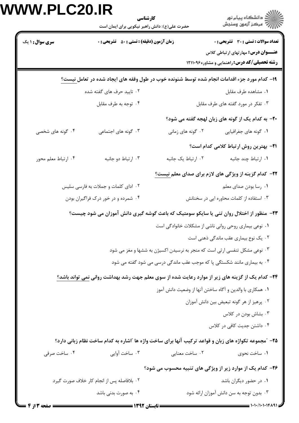| <b>سری سوال : ۱ یک</b><br>۲. تایید حرف های گفته شده<br>۰۴ توجه به طرف مقابل<br>۰۳ گونه های اجتماعی<br>۰۴ گونه های شخصی<br>۰۴ ارتباط معلم محور<br>۰۴ شمرده و در خور درک فراگیران بودن<br><b>۳۴</b> – کدام یک از گزینه های زیر از موارد رعایت شده از سوی معلم جهت رشد بهداشت روانی <u>نمی</u> تواند باشد؟ | <b>زمان آزمون (دقیقه) : تستی : 50 ٪ تشریحی : 0</b>       |                                                                           | <b>تعداد سوالات : تستی : 30 - تشریحی : 0</b><br>عنـــوان درس: مهارتهای ارتباطی کلاس<br><b>رشته تحصیلی/کد درس: راهنمایی و مشاوره۱۲۱۱۰۹۶</b><br>۱۹– کدام مورد جزء اقدامات انجام شده توسط شنونده خوب در طول وقفه های ایجاد شده در تعامل نیست؟ |  |  |
|---------------------------------------------------------------------------------------------------------------------------------------------------------------------------------------------------------------------------------------------------------------------------------------------------------|----------------------------------------------------------|---------------------------------------------------------------------------|--------------------------------------------------------------------------------------------------------------------------------------------------------------------------------------------------------------------------------------------|--|--|
|                                                                                                                                                                                                                                                                                                         |                                                          |                                                                           |                                                                                                                                                                                                                                            |  |  |
|                                                                                                                                                                                                                                                                                                         |                                                          |                                                                           |                                                                                                                                                                                                                                            |  |  |
|                                                                                                                                                                                                                                                                                                         |                                                          |                                                                           | ٠١ مشاهده طرف مقابل                                                                                                                                                                                                                        |  |  |
|                                                                                                                                                                                                                                                                                                         |                                                          |                                                                           | ۰۳ تفکر در مورد گفته های طرف مقابل                                                                                                                                                                                                         |  |  |
|                                                                                                                                                                                                                                                                                                         |                                                          |                                                                           | ۲۰- به کدام یک از گونه های زبان لهجه گفته می شود؟                                                                                                                                                                                          |  |  |
|                                                                                                                                                                                                                                                                                                         |                                                          | ۰۲ گونه های زمانی                                                         | ۰۱ گونه های جغرافیایی                                                                                                                                                                                                                      |  |  |
|                                                                                                                                                                                                                                                                                                         |                                                          |                                                                           | <b>٢١- بهترين روش ارتباط كلامي كدام است</b> ؟                                                                                                                                                                                              |  |  |
|                                                                                                                                                                                                                                                                                                         | ۰۳ ارتباط دو جانبه                                       | ٠٢ ارتباط يک جانبه                                                        | ٠١. ارتباط چند جانبه                                                                                                                                                                                                                       |  |  |
|                                                                                                                                                                                                                                                                                                         |                                                          |                                                                           | <b>۲۲- کدام گزینه از ویژگی های لازم برای صدای معلم نیست</b> ؟                                                                                                                                                                              |  |  |
|                                                                                                                                                                                                                                                                                                         | ۰۲ ادای کلمات و جملات به فارسی سلیس                      |                                                                           | ۰۱ رسا بودن صدای معلم                                                                                                                                                                                                                      |  |  |
|                                                                                                                                                                                                                                                                                                         |                                                          |                                                                           | ۰۳ استفاده از کلمات محاوره ایی در سخنانش                                                                                                                                                                                                   |  |  |
|                                                                                                                                                                                                                                                                                                         |                                                          |                                                                           | ۲۳- منظور از اختلال روان تنی یا سایکو سومتیک که باعث گوشه گیری دانش آموزان می شود چیست؟                                                                                                                                                    |  |  |
|                                                                                                                                                                                                                                                                                                         |                                                          | ۰۱ نوعی بیماری روحی روانی ناشی از مشکلات خانوادگی است                     |                                                                                                                                                                                                                                            |  |  |
|                                                                                                                                                                                                                                                                                                         |                                                          |                                                                           | ۰۲ یک نوع بیماری عقب ماندگی ذهنی است                                                                                                                                                                                                       |  |  |
|                                                                                                                                                                                                                                                                                                         |                                                          | ۰۳ نوعی مشکل تنفسی ارثی است که منجر به نرسیدن اکسیژن به ششها و مغز می شود |                                                                                                                                                                                                                                            |  |  |
|                                                                                                                                                                                                                                                                                                         |                                                          | ۰۴ به بیماری مانند شکستگی پا که موجب عقب ماندگی درسی می شود گفته می شود   |                                                                                                                                                                                                                                            |  |  |
|                                                                                                                                                                                                                                                                                                         |                                                          |                                                                           |                                                                                                                                                                                                                                            |  |  |
|                                                                                                                                                                                                                                                                                                         | ٠١ همكاري با والدين و أكاه ساختن أنها از وضعيت دانش أموز |                                                                           |                                                                                                                                                                                                                                            |  |  |
|                                                                                                                                                                                                                                                                                                         |                                                          |                                                                           | ٢. پرهيز از هر گونه تبعيض بين دانش آموزان                                                                                                                                                                                                  |  |  |
|                                                                                                                                                                                                                                                                                                         |                                                          |                                                                           | ۰۳ بشاش بودن در کلاس                                                                                                                                                                                                                       |  |  |
|                                                                                                                                                                                                                                                                                                         |                                                          |                                                                           | ۰۴ داشتن جدیت کافی در کلاس                                                                                                                                                                                                                 |  |  |
|                                                                                                                                                                                                                                                                                                         |                                                          |                                                                           | ۲۵- "مجموعه تکواژه های زبان و قواعد ترکیب آنها برای ساخت واژه ها "اشاره به کدام ساخت نظام زبانی دارد؟                                                                                                                                      |  |  |
| ۰۴ ساخت صرفی                                                                                                                                                                                                                                                                                            | ۰۳ ساخت آوایی                                            | ۰۲ ساخت معنایی                                                            | ٠١. ساخت نحوي                                                                                                                                                                                                                              |  |  |
|                                                                                                                                                                                                                                                                                                         |                                                          |                                                                           | ۲۶- کدام یک از موارد زیر از ویژگی های تنبیه محسوب می شود؟                                                                                                                                                                                  |  |  |
| ۰۲ بلافاصله پس از انجام کار خلاف صورت گیرد                                                                                                                                                                                                                                                              |                                                          |                                                                           | ۰۱ در حضور دیگران باشد                                                                                                                                                                                                                     |  |  |
| ۰۴ به صورت بدن <sub>ی</sub> باشد                                                                                                                                                                                                                                                                        |                                                          |                                                                           | ۰۳ بدون توجه به سن دانش آموزان ارائه شود                                                                                                                                                                                                   |  |  |